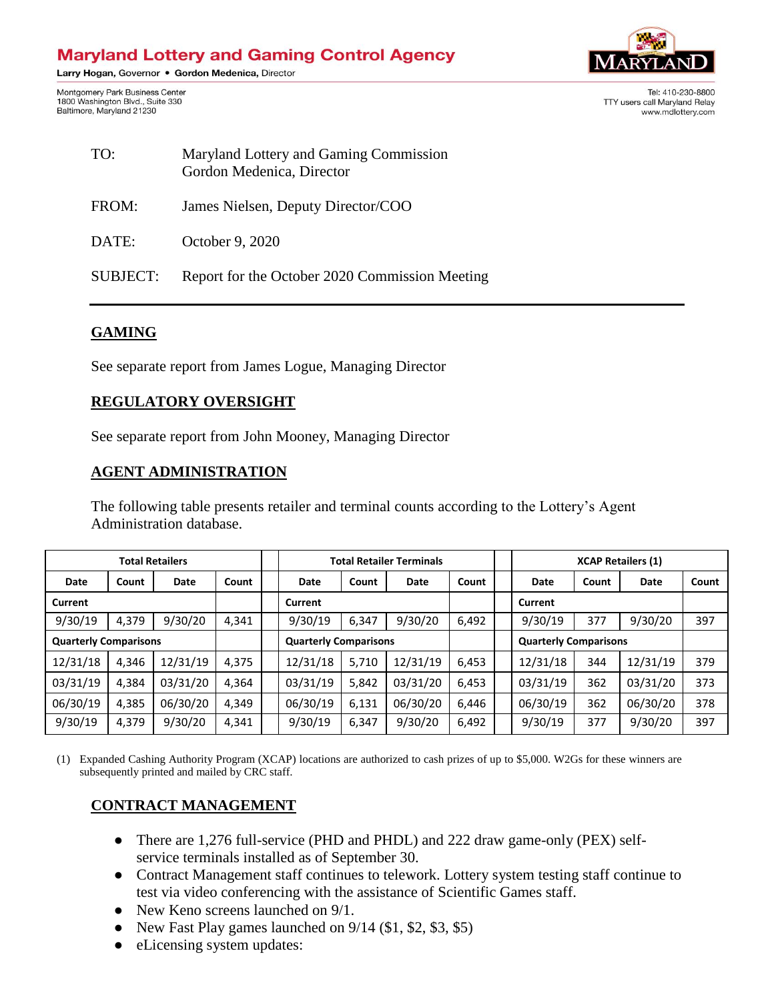# **Maryland Lottery and Gaming Control Agency**

Larry Hogan, Governor . Gordon Medenica, Director

Montgomery Park Business Center 1800 Washington Blvd., Suite 330 Baltimore, Maryland 21230



Tel: 410-230-8800 TTY users call Marvland Relay www.mdlottery.com

| TO:             | Maryland Lottery and Gaming Commission<br>Gordon Medenica, Director |  |  |  |  |
|-----------------|---------------------------------------------------------------------|--|--|--|--|
| FROM:           | James Nielsen, Deputy Director/COO                                  |  |  |  |  |
| DATE:           | October 9, 2020                                                     |  |  |  |  |
| <b>SUBJECT:</b> | Report for the October 2020 Commission Meeting                      |  |  |  |  |

### **GAMING**

See separate report from James Logue, Managing Director

#### **REGULATORY OVERSIGHT**

See separate report from John Mooney, Managing Director

#### **AGENT ADMINISTRATION**

The following table presents retailer and terminal counts according to the Lottery's Agent Administration database.

| <b>Total Retailers</b>       |       |          |                              | <b>Total Retailer Terminals</b> |       |          |                              | <b>XCAP Retailers (1)</b> |       |          |       |
|------------------------------|-------|----------|------------------------------|---------------------------------|-------|----------|------------------------------|---------------------------|-------|----------|-------|
| Date                         | Count | Date     | Count                        | Date                            | Count | Date     | Count                        | Date                      | Count | Date     | Count |
| Current                      |       |          |                              | Current                         |       |          |                              | Current                   |       |          |       |
| 9/30/19                      | 4,379 | 9/30/20  | 4,341                        | 9/30/19                         | 6,347 | 9/30/20  | 6,492                        | 9/30/19                   | 377   | 9/30/20  | 397   |
| <b>Quarterly Comparisons</b> |       |          | <b>Quarterly Comparisons</b> |                                 |       |          | <b>Quarterly Comparisons</b> |                           |       |          |       |
| 12/31/18                     | 4,346 | 12/31/19 | 4,375                        | 12/31/18                        | 5,710 | 12/31/19 | 6,453                        | 12/31/18                  | 344   | 12/31/19 | 379   |
| 03/31/19                     | 4,384 | 03/31/20 | 4,364                        | 03/31/19                        | 5,842 | 03/31/20 | 6,453                        | 03/31/19                  | 362   | 03/31/20 | 373   |
| 06/30/19                     | 4,385 | 06/30/20 | 4,349                        | 06/30/19                        | 6,131 | 06/30/20 | 6,446                        | 06/30/19                  | 362   | 06/30/20 | 378   |
| 9/30/19                      | 4,379 | 9/30/20  | 4,341                        | 9/30/19                         | 6,347 | 9/30/20  | 6,492                        | 9/30/19                   | 377   | 9/30/20  | 397   |

(1) Expanded Cashing Authority Program (XCAP) locations are authorized to cash prizes of up to \$5,000. W2Gs for these winners are subsequently printed and mailed by CRC staff.

### **CONTRACT MANAGEMENT**

- There are 1,276 full-service (PHD and PHDL) and 222 draw game-only (PEX) selfservice terminals installed as of September 30.
- Contract Management staff continues to telework. Lottery system testing staff continue to test via video conferencing with the assistance of Scientific Games staff.
- New Keno screens launched on  $9/1$ .
- New Fast Play games launched on 9/14 (\$1, \$2, \$3, \$5)
- eLicensing system updates: